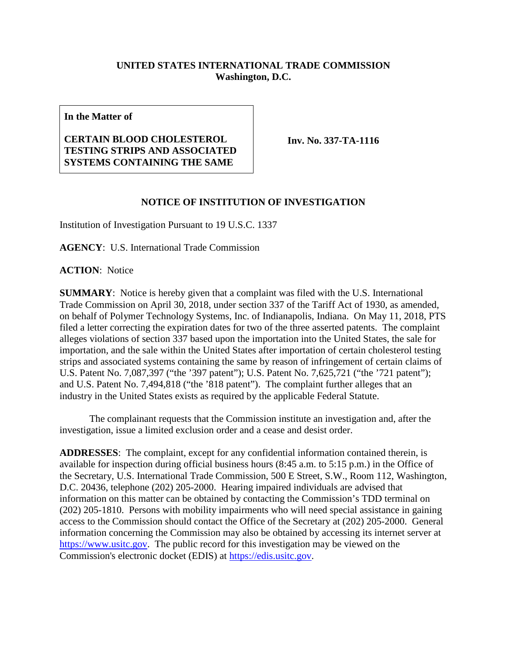## **UNITED STATES INTERNATIONAL TRADE COMMISSION Washington, D.C.**

**In the Matter of**

## **CERTAIN BLOOD CHOLESTEROL TESTING STRIPS AND ASSOCIATED SYSTEMS CONTAINING THE SAME**

**Inv. No. 337-TA-1116**

## **NOTICE OF INSTITUTION OF INVESTIGATION**

Institution of Investigation Pursuant to 19 U.S.C. 1337

**AGENCY**: U.S. International Trade Commission

**ACTION**: Notice

**SUMMARY**: Notice is hereby given that a complaint was filed with the U.S. International Trade Commission on April 30, 2018, under section 337 of the Tariff Act of 1930, as amended, on behalf of Polymer Technology Systems, Inc. of Indianapolis, Indiana. On May 11, 2018, PTS filed a letter correcting the expiration dates for two of the three asserted patents. The complaint alleges violations of section 337 based upon the importation into the United States, the sale for importation, and the sale within the United States after importation of certain cholesterol testing strips and associated systems containing the same by reason of infringement of certain claims of U.S. Patent No. 7,087,397 ("the '397 patent"); U.S. Patent No. 7,625,721 ("the '721 patent"); and U.S. Patent No. 7,494,818 ("the '818 patent"). The complaint further alleges that an industry in the United States exists as required by the applicable Federal Statute.

The complainant requests that the Commission institute an investigation and, after the investigation, issue a limited exclusion order and a cease and desist order.

**ADDRESSES**: The complaint, except for any confidential information contained therein, is available for inspection during official business hours (8:45 a.m. to 5:15 p.m.) in the Office of the Secretary, U.S. International Trade Commission, 500 E Street, S.W., Room 112, Washington, D.C. 20436, telephone (202) 205-2000. Hearing impaired individuals are advised that information on this matter can be obtained by contacting the Commission's TDD terminal on (202) 205-1810. Persons with mobility impairments who will need special assistance in gaining access to the Commission should contact the Office of the Secretary at (202) 205-2000. General information concerning the Commission may also be obtained by accessing its internet server at [https://www.usitc.gov.](https://www.usitc.gov/) The public record for this investigation may be viewed on the Commission's electronic docket (EDIS) at [https://edis.usitc.gov.](https://edis.usitc.gov/)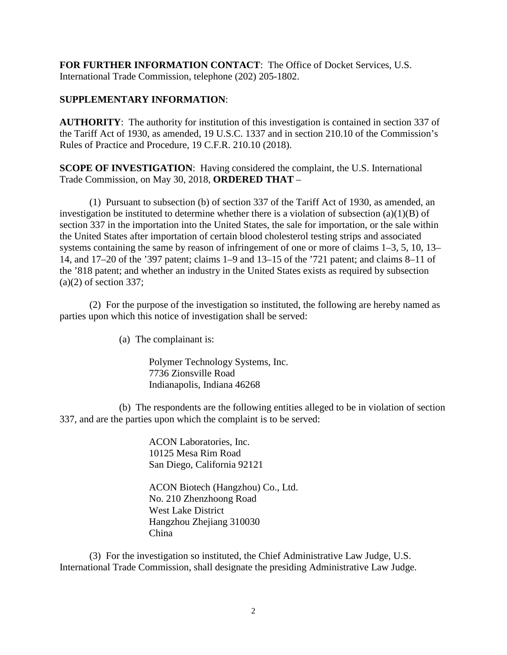**FOR FURTHER INFORMATION CONTACT**: The Office of Docket Services, U.S. International Trade Commission, telephone (202) 205-1802.

## **SUPPLEMENTARY INFORMATION**:

**AUTHORITY**: The authority for institution of this investigation is contained in section 337 of the Tariff Act of 1930, as amended, 19 U.S.C. 1337 and in section 210.10 of the Commission's Rules of Practice and Procedure, 19 C.F.R. 210.10 (2018).

**SCOPE OF INVESTIGATION**: Having considered the complaint, the U.S. International Trade Commission, on May 30, 2018, **ORDERED THAT** –

(1) Pursuant to subsection (b) of section 337 of the Tariff Act of 1930, as amended, an investigation be instituted to determine whether there is a violation of subsection  $(a)(1)(B)$  of section 337 in the importation into the United States, the sale for importation, or the sale within the United States after importation of certain blood cholesterol testing strips and associated systems containing the same by reason of infringement of one or more of claims 1–3, 5, 10, 13– 14, and 17–20 of the '397 patent; claims 1–9 and 13–15 of the '721 patent; and claims 8–11 of the '818 patent; and whether an industry in the United States exists as required by subsection  $(a)(2)$  of section 337;

(2) For the purpose of the investigation so instituted, the following are hereby named as parties upon which this notice of investigation shall be served:

(a) The complainant is:

Polymer Technology Systems, Inc. 7736 Zionsville Road Indianapolis, Indiana 46268

(b) The respondents are the following entities alleged to be in violation of section 337, and are the parties upon which the complaint is to be served:

> ACON Laboratories, Inc. 10125 Mesa Rim Road San Diego, California 92121

ACON Biotech (Hangzhou) Co., Ltd. No. 210 Zhenzhoong Road West Lake District Hangzhou Zhejiang 310030 China

(3) For the investigation so instituted, the Chief Administrative Law Judge, U.S. International Trade Commission, shall designate the presiding Administrative Law Judge.